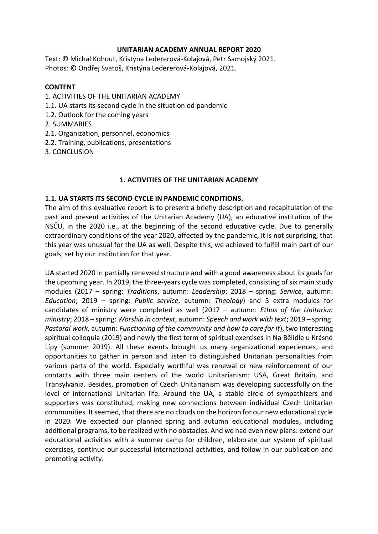#### **UNITARIAN ACADEMY ANNUAL REPORT 2020**

Text: © Michal Kohout, Kristýna Ledererová-Kolajová, Petr Samojský 2021. Photos: © Ondřej Svatoš, Kristýna Ledererová-Kolajová, 2021.

## **CONTENT**

- 1. ACTIVITIES OF THE UNITARIAN ACADEMY
- 1.1. UA starts its second cycle in the situation od pandemic
- 1.2. Outlook for the coming years
- 2. SUMMARIES
- 2.1. Organization, personnel, economics
- 2.2. Training, publications, presentations
- 3. CONCLUSION

### **1. ACTIVITIES OF THE UNITARIAN ACADEMY**

### **1.1. UA STARTS ITS SECOND CYCLE IN PANDEMIC CONDITIONS.**

The aim of this evaluative report is to present a briefly description and recapitulation of the past and present activities of the Unitarian Academy (UA), an educative institution of the NSČU, in the 2020 i.e., at the beginning of the second educative cycle. Due to generally extraordinary conditions of the year 2020, affected by the pandemic, it is not surprising, that this year was unusual for the UA as well. Despite this, we achieved to fulfill main part of our goals, set by our institution for that year.

UA started 2020 in partially renewed structure and with a good awareness about its goals for the upcoming year. In 2019, the three-years cycle was completed, consisting of six main study modules (2017 – spring: *Traditions*, autumn: *Leadership*; 2018 – spring: *Service*, autumn: *Education*; 2019 – spring: *Public service*, autumn: *Theology*) and 5 extra modules for candidates of ministry were completed as well (2017 – autumn: *Ethos of the Unitarian ministry*; 2018 – spring: *Worship in context*, autumn: *Speech and work with text*; 2019 – spring: *Pastoral work*, autumn: *Functioning of the community and how to care for it*), two interesting spiritual colloquia (2019) and newly the first term of spiritual exercises in Na Bělidle u Krásné Lípy (summer 2019). All these events brought us many organizational experiences, and opportunities to gather in person and listen to distinguished Unitarian personalities from various parts of the world. Especially worthful was renewal or new reinforcement of our contacts with three main centers of the world Unitarianism: USA, Great Britain, and Transylvania. Besides, promotion of Czech Unitarianism was developing successfully on the level of international Unitarian life. Around the UA, a stable circle of sympathizers and supporters was constituted, making new connections between individual Czech Unitarian communities. It seemed, that there are no clouds on the horizon for our new educational cycle in 2020. We expected our planned spring and autumn educational modules, including additional programs, to be realized with no obstacles. And we had even new plans: extend our educational activities with a summer camp for children, elaborate our system of spiritual exercises, continue our successful international activities, and follow in our publication and promoting activity.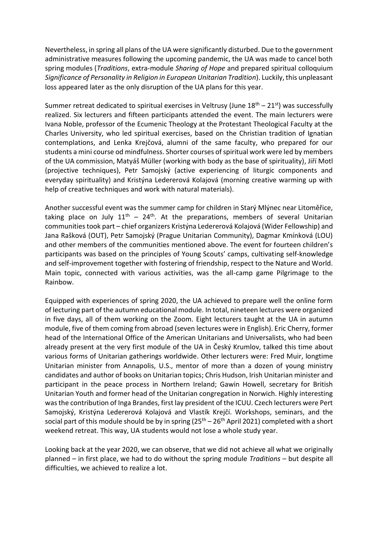Nevertheless, in spring all plans of the UA were significantly disturbed. Due to the government administrative measures following the upcoming pandemic, the UA was made to cancel both spring modules (*Traditions*, extra-module *Sharing of Hope* and prepared spiritual colloquium *Significance of Personality in Religion in European Unitarian Tradition*). Luckily, this unpleasant loss appeared later as the only disruption of the UA plans for this year.

Summer retreat dedicated to spiritual exercises in Veltrusy (June  $18<sup>th</sup> - 21<sup>st</sup>$ ) was successfully realized. Six lecturers and fifteen participants attended the event. The main lecturers were Ivana Noble, professor of the Ecumenic Theology at the Protestant Theological Faculty at the Charles University, who led spiritual exercises, based on the Christian tradition of Ignatian contemplations, and Lenka Krejčová, alumni of the same faculty, who prepared for our students a mini course od mindfulness. Shorter courses of spiritual work were led by members of the UA commission, Matyáš Müller (working with body as the base of spirituality), Jiří Motl (projective techniques), Petr Samojský (active experiencing of liturgic components and everyday spirituality) and Kristýna Ledererová Kolajová (morning creative warming up with help of creative techniques and work with natural materials).

Another successful event was the summer camp for children in Starý Mlýnec near Litoměřice, taking place on July  $11^{th}$  –  $24^{th}$ . At the preparations, members of several Unitarian communities took part – chief organizers Kristýna Ledererová Kolajová (Wider Fellowship) and Jana Rašková (OUT), Petr Samojský (Prague Unitarian Community), Dagmar Kmínková (LOU) and other members of the communities mentioned above. The event for fourteen children's participants was based on the principles of Young Scouts' camps, cultivating self-knowledge and self-improvement together with fostering of friendship, respect to the Nature and World. Main topic, connected with various activities, was the all-camp game Pilgrimage to the Rainbow.

Equipped with experiences of spring 2020, the UA achieved to prepare well the online form of lecturing part of the autumn educational module. In total, nineteen lectures were organized in five days, all of them working on the Zoom. Eight lecturers taught at the UA in autumn module, five of them coming from abroad (seven lectures were in English). Eric Cherry, former head of the International Office of the American Unitarians and Universalists, who had been already present at the very first module of the UA in Český Krumlov, talked this time about various forms of Unitarian gatherings worldwide. Other lecturers were: Fred Muir, longtime Unitarian minister from Annapolis, U.S., mentor of more than a dozen of young ministry candidates and author of books on Unitarian topics; Chris Hudson, Irish Unitarian minister and participant in the peace process in Northern Ireland; Gawin Howell, secretary for British Unitarian Youth and former head of the Unitarian congregation in Norwich. Highly interesting was the contribution of Inga Brandes, first lay president of the ICUU. Czech lecturers were Pert Samojský, Kristýna Ledererová Kolajová and Vlastík Krejčí. Workshops, seminars, and the social part of this module should be by in spring  $(25<sup>th</sup> - 26<sup>th</sup>$  April 2021) completed with a short weekend retreat. This way, UA students would not lose a whole study year.

Looking back at the year 2020, we can observe, that we did not achieve all what we originally planned – in first place, we had to do without the spring module *Traditions* – but despite all difficulties, we achieved to realize a lot.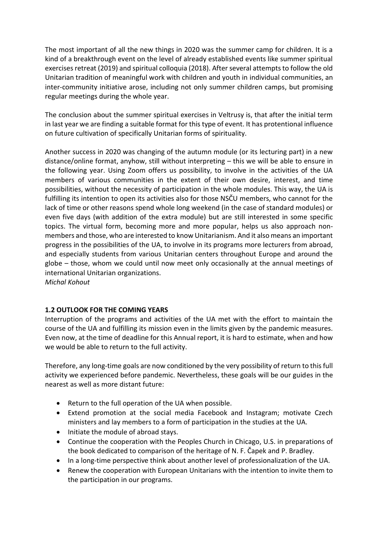The most important of all the new things in 2020 was the summer camp for children. It is a kind of a breakthrough event on the level of already established events like summer spiritual exercises retreat (2019) and spiritual colloquia (2018). After several attempts to follow the old Unitarian tradition of meaningful work with children and youth in individual communities, an inter-community initiative arose, including not only summer children camps, but promising regular meetings during the whole year.

The conclusion about the summer spiritual exercises in Veltrusy is, that after the initial term in last year we are finding a suitable format for this type of event. It has protentional influence on future cultivation of specifically Unitarian forms of spirituality.

Another success in 2020 was changing of the autumn module (or its lecturing part) in a new distance/online format, anyhow, still without interpreting – this we will be able to ensure in the following year. Using Zoom offers us possibility, to involve in the activities of the UA members of various communities in the extent of their own desire, interest, and time possibilities, without the necessity of participation in the whole modules. This way, the UA is fulfilling its intention to open its activities also for those NSČU members, who cannot for the lack of time or other reasons spend whole long weekend (in the case of standard modules) or even five days (with addition of the extra module) but are still interested in some specific topics. The virtual form, becoming more and more popular, helps us also approach nonmembers and those, who are interested to know Unitarianism. And it also means an important progress in the possibilities of the UA, to involve in its programs more lecturers from abroad, and especially students from various Unitarian centers throughout Europe and around the globe – those, whom we could until now meet only occasionally at the annual meetings of international Unitarian organizations. *Michal Kohout*

# **1.2 OUTLOOK FOR THE COMING YEARS**

Interruption of the programs and activities of the UA met with the effort to maintain the course of the UA and fulfilling its mission even in the limits given by the pandemic measures. Even now, at the time of deadline for this Annual report, it is hard to estimate, when and how we would be able to return to the full activity.

Therefore, any long-time goals are now conditioned by the very possibility of return to this full activity we experienced before pandemic. Nevertheless, these goals will be our guides in the nearest as well as more distant future:

- Return to the full operation of the UA when possible.
- Extend promotion at the social media Facebook and Instagram; motivate Czech ministers and lay members to a form of participation in the studies at the UA.
- Initiate the module of abroad stays.
- Continue the cooperation with the Peoples Church in Chicago, U.S. in preparations of the book dedicated to comparison of the heritage of N. F. Čapek and P. Bradley.
- In a long-time perspective think about another level of professionalization of the UA.
- Renew the cooperation with European Unitarians with the intention to invite them to the participation in our programs.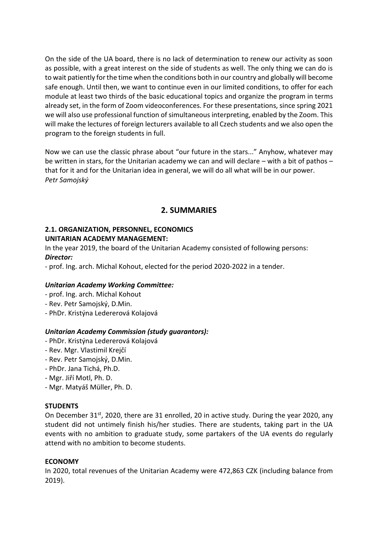On the side of the UA board, there is no lack of determination to renew our activity as soon as possible, with a great interest on the side of students as well. The only thing we can do is to wait patiently for the time when the conditions both in our country and globally will become safe enough. Until then, we want to continue even in our limited conditions, to offer for each module at least two thirds of the basic educational topics and organize the program in terms already set, in the form of Zoom videoconferences. For these presentations, since spring 2021 we will also use professional function of simultaneous interpreting, enabled by the Zoom. This will make the lectures of foreign lecturers available to all Czech students and we also open the program to the foreign students in full.

Now we can use the classic phrase about "our future in the stars..." Anyhow, whatever may be written in stars, for the Unitarian academy we can and will declare – with a bit of pathos – that for it and for the Unitarian idea in general, we will do all what will be in our power. *Petr Samojský*

# **2. SUMMARIES**

# **2.1. ORGANIZATION, PERSONNEL, ECONOMICS UNITARIAN ACADEMY MANAGEMENT:**

In the year 2019, the board of the Unitarian Academy consisted of following persons: *Director:* 

- prof. Ing. arch. Michal Kohout, elected for the period 2020-2022 in a tender.

# *Unitarian Academy Working Committee:*

- prof. Ing. arch. Michal Kohout
- Rev. Petr Samojský, D.Min.
- PhDr. Kristýna Ledererová Kolajová

# *Unitarian Academy Commission (study guarantors):*

- PhDr. Kristýna Ledererová Kolajová
- Rev. Mgr. Vlastimil Krejčí
- Rev. Petr Samojský, D.Min.
- PhDr. Jana Tichá, Ph.D.
- Mgr. Jiří Motl, Ph. D.
- Mgr. Matyáš Müller, Ph. D.

#### **STUDENTS**

On December 31st, 2020, there are 31 enrolled, 20 in active study. During the year 2020, any student did not untimely finish his/her studies. There are students, taking part in the UA events with no ambition to graduate study, some partakers of the UA events do regularly attend with no ambition to become students.

#### **ECONOMY**

In 2020, total revenues of the Unitarian Academy were 472,863 CZK (including balance from 2019).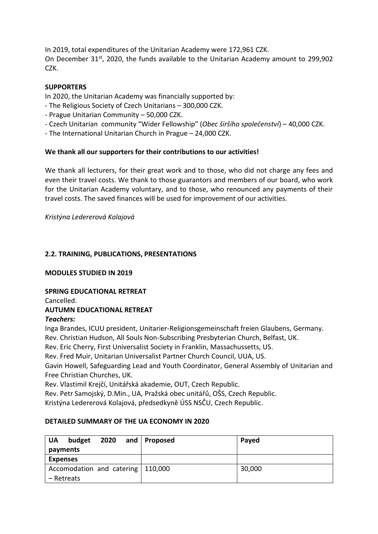In 2019, total expenditures of the Unitarian Academy were 172,961 CZK. On December 31<sup>st</sup>, 2020, the funds available to the Unitarian Academy amount to 299,902 CZK.

# **SUPPORTERS**

In 2020, the Unitarian Academy was financially supported by:

- The Religious Society of Czech Unitarians 300,000 CZK.
- Prague Unitarian Community 50,000 CZK.
- Czech Unitarian community "Wider Fellowship" (*Obec širšího společenství*) 40,000 CZK.
- The International Unitarian Church in Prague 24,000 CZK.

# **We thank all our supporters for their contributions to our activities!**

We thank all lecturers, for their great work and to those, who did not charge any fees and even their travel costs. We thank to those guarantors and members of our board, who work for the Unitarian Academy voluntary, and to those, who renounced any payments of their travel costs. The saved finances will be used for improvement of our activities.

*Kristýna Ledererová Kolajová*

# **2.2. TRAINING, PUBLICATIONS, PRESENTATIONS**

#### **MODULES STUDIED IN 2019**

#### **SPRING EDUCATIONAL RETREAT**

Cancelled.

# **AUTUMN EDUCATIONAL RETREAT**

#### *Teachers:*

Inga Brandes, ICUU president, Unitarier-Religionsgemeinschaft freien Glaubens, Germany.

Rev. Christian Hudson, All Souls Non-Subscribing Presbyterian Church, Belfast, UK.

Rev. Eric Cherry, First Universalist Society in Franklin, Massachussetts, US.

Rev. Fred Muir, Unitarian Universalist Partner Church Council, UUA, US.

Gavin Howell, Safeguarding Lead and Youth Coordinator, General Assembly of Unitarian and Free Christian Churches, UK.

Rev. Vlastimil Krejčí, Unitářská akademie, OUT, Czech Republic.

Rev. Petr Samojský, D.Min., UA, Pražská obec unitářů, OŠS, Czech Republic.

Kristýna Ledererová Kolajová, předsedkyně ÚSS NSČU, Czech Republic.

#### **DETAILED SUMMARY OF THE UA ECONOMY IN 2020**

| budget<br><b>UA</b><br>2020<br>payments | and   Proposed | Payed  |
|-----------------------------------------|----------------|--------|
| <b>Expenses</b>                         |                |        |
| Accomodation and catering   110,000     |                | 30,000 |
| – Retreats                              |                |        |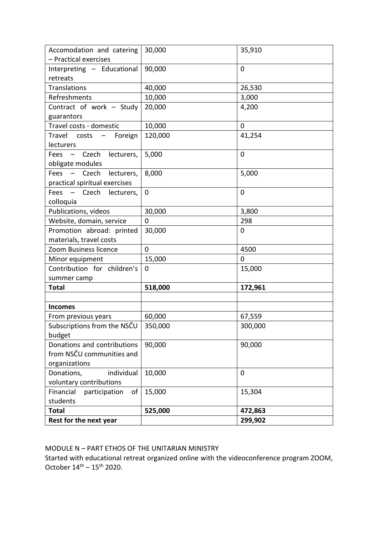| Accomodation and catering<br>- Practical exercises | 30,000  | 35,910  |
|----------------------------------------------------|---------|---------|
| Interpreting - Educational                         | 90,000  | 0       |
| retreats                                           |         |         |
| Translations                                       | 40,000  | 26,530  |
| Refreshments                                       | 10,000  |         |
|                                                    |         | 3,000   |
| Contract of work - Study                           | 20,000  | 4,200   |
| guarantors<br>Travel costs - domestic              |         |         |
|                                                    | 10,000  | 0       |
| Travel costs -<br>Foreign                          | 120,000 | 41,254  |
| lecturers                                          |         |         |
| Fees - Czech<br>lecturers,                         | 5,000   | 0       |
| obligate modules                                   |         |         |
| Fees - Czech<br>lecturers,                         | 8,000   | 5,000   |
| practical spiritual exercises                      |         |         |
| Fees - Czech<br>lecturers,                         | 0       | 0       |
| colloquia                                          |         |         |
| Publications, videos                               | 30,000  | 3,800   |
| Website, domain, service                           | 0       | 298     |
| Promotion abroad: printed                          | 30,000  | 0       |
| materials, travel costs                            |         |         |
| Zoom Business licence                              | 0       | 4500    |
| Minor equipment                                    | 15,000  | 0       |
| Contribution for children's                        | 0       | 15,000  |
| summer camp                                        |         |         |
| <b>Total</b>                                       | 518,000 | 172,961 |
|                                                    |         |         |
| <b>Incomes</b>                                     |         |         |
| From previous years                                | 60,000  | 67,559  |
| Subscriptions from the NSCU                        | 350,000 | 300,000 |
| budget                                             |         |         |
| Donations and contributions                        | 90,000  | 90,000  |
| from NSČU communities and                          |         |         |
| organizations                                      |         |         |
| individual<br>Donations,                           | 10,000  | 0       |
| voluntary contributions                            |         |         |
| Financial<br>participation<br>of                   | 15,000  | 15,304  |
| students                                           |         |         |
| <b>Total</b>                                       | 525,000 | 472,863 |
| Rest for the next year                             |         | 299,902 |

MODULE N – PART ETHOS OF THE UNITARIAN MINISTRY

Started with educational retreat organized online with the videoconference program ZOOM, October  $14^{\text{th}} - 15^{\text{th}}$  2020.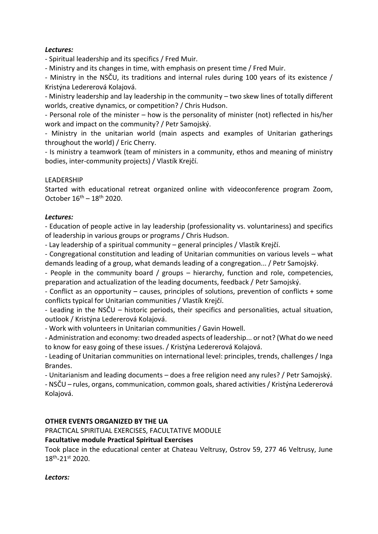## *Lectures:*

- Spiritual leadership and its specifics / Fred Muir.

- Ministry and its changes in time, with emphasis on present time / Fred Muir.

- Ministry in the NSČU, its traditions and internal rules during 100 years of its existence / Kristýna Ledererová Kolajová.

- Ministry leadership and lay leadership in the community – two skew lines of totally different worlds, creative dynamics, or competition? / Chris Hudson.

- Personal role of the minister – how is the personality of minister (not) reflected in his/her work and impact on the community? / Petr Samojský.

- Ministry in the unitarian world (main aspects and examples of Unitarian gatherings throughout the world) / Eric Cherry.

- Is ministry a teamwork (team of ministers in a community, ethos and meaning of ministry bodies, inter-community projects) / Vlastík Krejčí.

### LEADERSHIP

Started with educational retreat organized online with videoconference program Zoom, October  $16^{th} - 18^{th}$  2020.

#### *Lectures:*

- Education of people active in lay leadership (professionality vs. voluntariness) and specifics of leadership in various groups or programs / Chris Hudson.

- Lay leadership of a spiritual community – general principles / Vlastík Krejčí.

- Congregational constitution and leading of Unitarian communities on various levels – what demands leading of a group, what demands leading of a congregation... / Petr Samojský.

- People in the community board / groups – hierarchy, function and role, competencies, preparation and actualization of the leading documents, feedback / Petr Samojský.

- Conflict as an opportunity – causes, principles of solutions, prevention of conflicts + some conflicts typical for Unitarian communities / Vlastík Krejčí.

- Leading in the NSČU – historic periods, their specifics and personalities, actual situation, outlook / Kristýna Ledererová Kolajová.

- Work with volunteers in Unitarian communities / Gavin Howell.

- Administration and economy: two dreaded aspects of leadership... or not? (What do we need to know for easy going of these issues. / Kristýna Ledererová Kolajová.

- Leading of Unitarian communities on international level: principles, trends, challenges / Inga Brandes.

- Unitarianism and leading documents – does a free religion need any rules? / Petr Samojský.

- NSČU – rules, organs, communication, common goals, shared activities / Kristýna Ledererová Kolajová.

#### **OTHER EVENTS ORGANIZED BY THE UA**

PRACTICAL SPIRITUAL EXERCISES, FACULTATIVE MODULE

#### **Facultative module Practical Spiritual Exercises**

Took place in the educational center at Chateau Veltrusy, Ostrov 59, 277 46 Veltrusy, June 18th -21st 2020.

#### *Lectors:*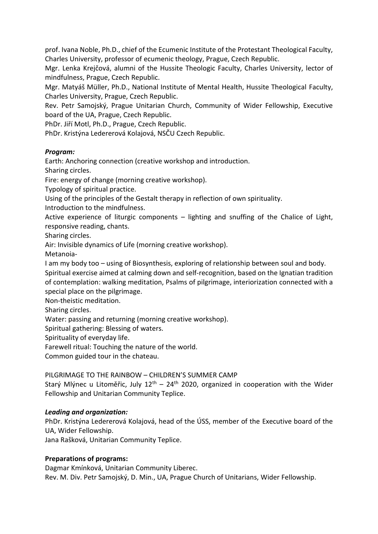prof. Ivana Noble, Ph.D., chief of the Ecumenic Institute of the Protestant Theological Faculty, Charles University, professor of ecumenic theology, Prague, Czech Republic.

Mgr. Lenka Krejčová, alumni of the Hussite Theologic Faculty, Charles University, lector of mindfulness, Prague, Czech Republic.

Mgr. Matyáš Müller, Ph.D., National Institute of Mental Health, Hussite Theological Faculty, Charles University, Prague, Czech Republic.

Rev. Petr Samojský, Prague Unitarian Church, Community of Wider Fellowship, Executive board of the UA, Prague, Czech Republic.

PhDr. Jiří Motl, Ph.D., Prague, Czech Republic.

PhDr. Kristýna Ledererová Kolajová, NSČU Czech Republic.

### *Program:*

Earth: Anchoring connection (creative workshop and introduction.

Sharing circles.

Fire: energy of change (morning creative workshop).

Typology of spiritual practice.

Using of the principles of the Gestalt therapy in reflection of own spirituality.

Introduction to the mindfulness.

Active experience of liturgic components – lighting and snuffing of the Chalice of Light, responsive reading, chants.

Sharing circles.

Air: Invisible dynamics of Life (morning creative workshop).

Metanoia-

I am my body too – using of Biosynthesis, exploring of relationship between soul and body. Spiritual exercise aimed at calming down and self-recognition, based on the Ignatian tradition of contemplation: walking meditation, Psalms of pilgrimage, interiorization connected with a special place on the pilgrimage.

Non-theistic meditation.

Sharing circles.

Water: passing and returning (morning creative workshop).

Spiritual gathering: Blessing of waters.

Spirituality of everyday life.

Farewell ritual: Touching the nature of the world.

Common guided tour in the chateau.

PILGRIMAGE TO THE RAINBOW – CHILDREN'S SUMMER CAMP

Starý Mlýnec u Litoměřic, July  $12<sup>th</sup> - 24<sup>th</sup>$  2020, organized in cooperation with the Wider Fellowship and Unitarian Community Teplice.

# *Leading and organization:*

PhDr. Kristýna Ledererová Kolajová, head of the ÚSS, member of the Executive board of the UA, Wider Fellowship.

Jana Rašková, Unitarian Community Teplice.

#### **Preparations of programs:**

Dagmar Kmínková, Unitarian Community Liberec. Rev. M. Div. Petr Samojský, D. Min., UA, Prague Church of Unitarians, Wider Fellowship.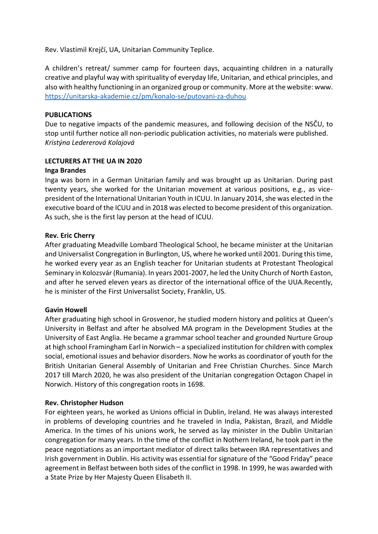Rev. Vlastimil Krejčí, UA, Unitarian Community Teplice.

A children's retreat/ summer camp for fourteen days, acquainting children in a naturally creative and playful way with spirituality of everyday life, Unitarian, and ethical principles, and also with healthy functioning in an organized group or community. More at the website: www. <https://unitarska-akademie.cz/pm/konalo-se/putovani-za-duhou>

### **PUBLICATIONS**

Due to negative impacts of the pandemic measures, and following decision of the NSČU, to stop until further notice all non-periodic publication activities, no materials were published. *Kristýna Ledererová Kolajová* 

### **LECTURERS AT THE UA IN 2020**

#### **Inga Brandes**

Inga was born in a German Unitarian family and was brought up as Unitarian. During past twenty years, she worked for the Unitarian movement at various positions, e.g., as vicepresident of the International Unitarian Youth in ICUU. In January 2014, she was elected in the executive board of the ICUU and in 2018 was elected to become president of this organization. As such, she is the first lay person at the head of ICUU.

#### **Rev. Eric Cherry**

After graduating Meadville Lombard Theological School, he became minister at the Unitarian and Universalist Congregation in Burlington, US, where he worked until 2001. During this time, he worked every year as an English teacher for Unitarian students at Protestant Theological Seminary in Kolozsvár (Rumania). In years 2001-2007, he led the Unity Church of North Easton, and after he served eleven years as director of the international office of the UUA.Recently, he is minister of the First Universalist Society, Franklin, US.

#### **Gavin Howell**

After graduating high school in Grosvenor, he studied modern history and politics at Queen's University in Belfast and after he absolved MA program in the Development Studies at the University of East Anglia. He became a grammar school teacher and grounded Nurture Group at high school Framingham Earl in Norwich – a specialized institution for children with complex social, emotional issues and behavior disorders. Now he works as coordinator of youth for the British Unitarian General Assembly of Unitarian and Free Christian Churches. Since March 2017 till March 2020, he was also president of the Unitarian congregation Octagon Chapel in Norwich. History of this congregation roots in 1698.

#### **Rev. Christopher Hudson**

For eighteen years, he worked as Unions official in Dublin, Ireland. He was always interested in problems of developing countries and he traveled in India, Pakistan, Brazil, and Middle America. In the times of his unions work, he served as lay minister in the Dublin Unitarian congregation for many years. In the time of the conflict in Nothern Ireland, he took part in the peace negotiations as an important mediator of direct talks between IRA representatives and Irish government in Dublin. His activity was essential for signature of the "Good Friday" peace agreement in Belfast between both sides of the conflict in 1998. In 1999, he was awarded with a State Prize by Her Majesty Queen Elisabeth II.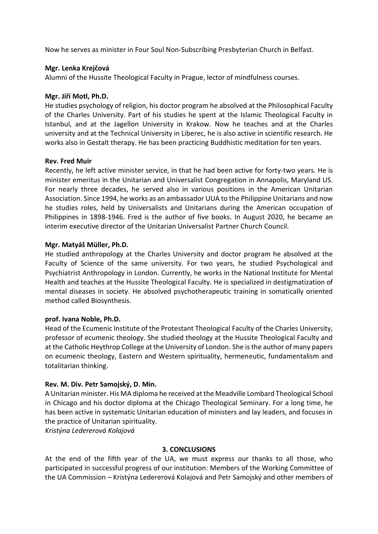Now he serves as minister in Four Soul Non-Subscribing Presbyterian Church in Belfast.

### **Mgr. Lenka Krejčová**

Alumni of the Hussite Theological Faculty in Prague, lector of mindfulness courses.

#### **Mgr. Jiří Motl, Ph.D.**

He studies psychology of religion, his doctor program he absolved at the Philosophical Faculty of the Charles University. Part of his studies he spent at the Islamic Theological Faculty in Istanbul, and at the Jagellon University in Krakow. Now he teaches and at the Charles university and at the Technical University in Liberec, he is also active in scientific research. He works also in Gestalt therapy. He has been practicing Buddhistic meditation for ten years.

### **Rev. Fred Muir**

Recently, he left active minister service, in that he had been active for forty-two years. He is minister emeritus in the Unitarian and Universalist Congregation in Annapolis, Maryland US. For nearly three decades, he served also in various positions in the American Unitarian Association. Since 1994, he works as an ambassador UUA to the Philippine Unitarians and now he studies roles, held by Universalists and Unitarians during the American occupation of Philippines in 1898-1946. Fred is the author of five books. In August 2020, he became an interim executive director of the Unitarian Universalist Partner Church Council.

### **Mgr. Matyáš Müller, Ph.D.**

He studied anthropology at the Charles University and doctor program he absolved at the Faculty of Science of the same university. For two years, he studied Psychological and Psychiatrist Anthropology in London. Currently, he works in the National Institute for Mental Health and teaches at the Hussite Theological Faculty. He is specialized in destigmatization of mental diseases in society. He absolved psychotherapeutic training in somatically oriented method called Biosynthesis.

#### **prof. Ivana Noble, Ph.D.**

Head of the Ecumenic Institute of the Protestant Theological Faculty of the Charles University, professor of ecumenic theology. She studied theology at the Hussite Theological Faculty and at the Catholic Heythrop College at the University of London. She is the author of many papers on ecumenic theology, Eastern and Western spirituality, hermeneutic, fundamentalism and totalitarian thinking.

# **Rev. M. Div. Petr Samojský, D. Min.**

A Unitarian minister. His MA diploma he received at the Meadville Lombard Theological School in Chicago and his doctor diploma at the Chicago Theological Seminary. For a long time, he has been active in systematic Unitarian education of ministers and lay leaders, and focuses in the practice of Unitarian spirituality.

*Kristýna Ledererová Kolajová* 

# **3. CONCLUSIONS**

At the end of the fifth year of the UA, we must express our thanks to all those, who participated in successful progress of our institution: Members of the Working Committee of the UA Commission – Kristýna Ledererová Kolajová and Petr Samojský and other members of